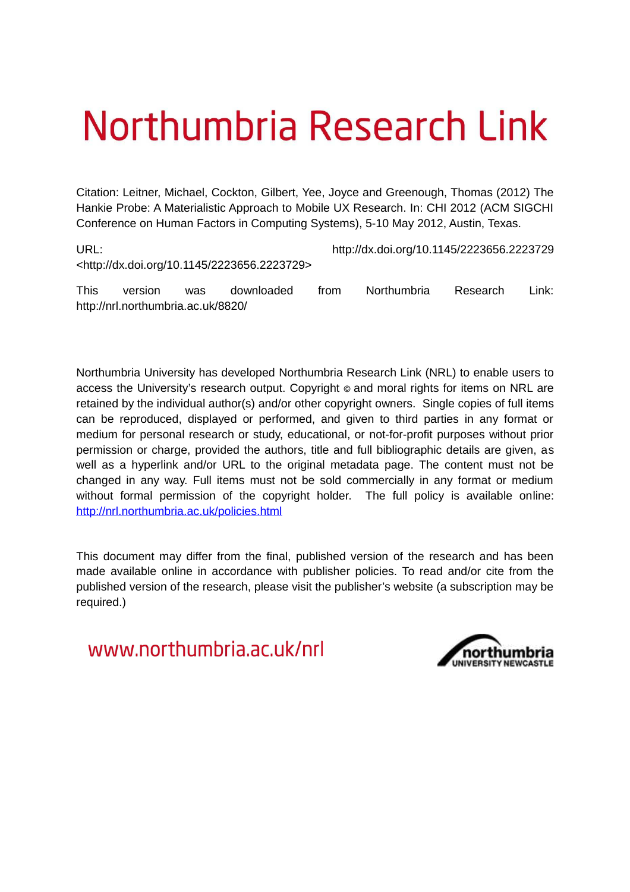# Northumbria Research Link

Citation: Leitner, Michael, Cockton, Gilbert, Yee, Joyce and Greenough, Thomas (2012) The Hankie Probe: A Materialistic Approach to Mobile UX Research. In: CHI 2012 (ACM SIGCHI Conference on Human Factors in Computing Systems), 5-10 May 2012, Austin, Texas.

URL: http://dx.doi.org/10.1145/2223656.2223729 <http://dx.doi.org/10.1145/2223656.2223729>

This version was downloaded from Northumbria Research Link: http://nrl.northumbria.ac.uk/8820/

Northumbria University has developed Northumbria Research Link (NRL) to enable users to access the University's research output. Copyright  $\circ$  and moral rights for items on NRL are retained by the individual author(s) and/or other copyright owners. Single copies of full items can be reproduced, displayed or performed, and given to third parties in any format or medium for personal research or study, educational, or not-for-profit purposes without prior permission or charge, provided the authors, title and full bibliographic details are given, as well as a hyperlink and/or URL to the original metadata page. The content must not be changed in any way. Full items must not be sold commercially in any format or medium without formal permission of the copyright holder. The full policy is available online: <http://nrl.northumbria.ac.uk/policies.html>

This document may differ from the final, published version of the research and has been made available online in accordance with publisher policies. To read and/or cite from the published version of the research, please visit the publisher's website (a subscription may be required.)

www.northumbria.ac.uk/nrl

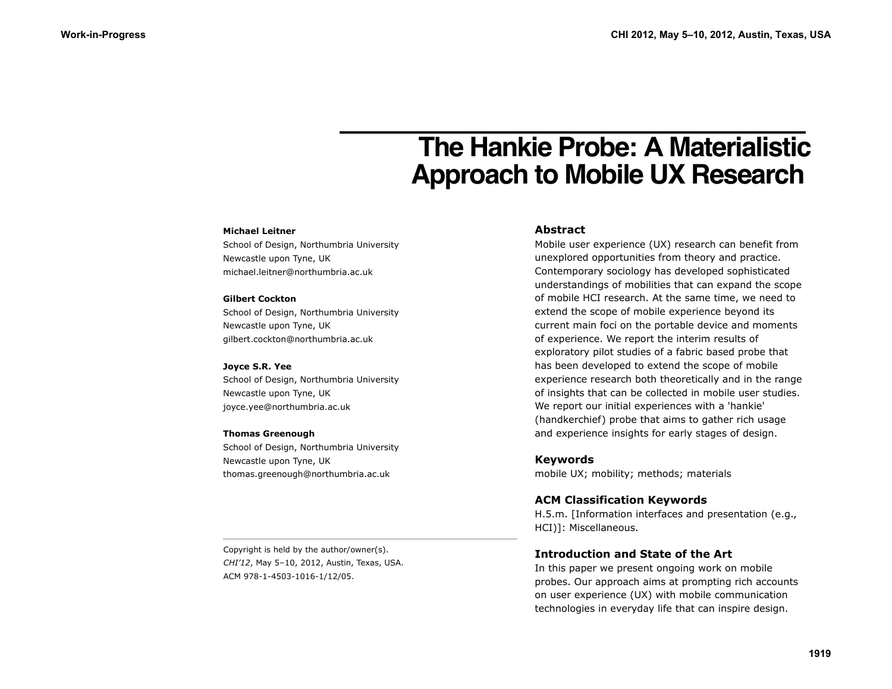# **The Hankie Probe: A Materialistic Approach to Mobile UX Research**

#### **Michael Leitner**

School of Design, Northumbria University Newcastle upon Tyne, UK michael.leitner@northumbria.ac.uk

#### **Gilbert Cockton**

School of Design, Northumbria University Newcastle upon Tyne, UK gilbert.cockton@northumbria.ac.uk

#### **Joyce S.R. Yee**

School of Design, Northumbria University Newcastle upon Tyne, UK [joyce.yee@northumbria.ac.uk](mailto:joyce.yee@northumbria.ac.uk)

#### **Thomas Greenough**

School of Design, Northumbria University Newcastle upon Tyne, UK thomas.greenough@northumbria.ac.uk

Copyright is held by the author/owner(s). *CHI'12*, May 5–10, 2012, Austin, Texas, USA. ACM 978-1-4503-1016-1/12/05.

## **Abstract**

Mobile user experience (UX) research can benefit from unexplored opportunities from theory and practice. Contemporary sociology has developed sophisticated understandings of mobilities that can expand the scope of mobile HCI research. At the same time, we need to extend the scope of mobile experience beyond its current main foci on the portable device and moments of experience. We report the interim results of exploratory pilot studies of a fabric based probe that has been developed to extend the scope of mobile experience research both theoretically and in the range of insights that can be collected in mobile user studies. We report our initial experiences with a 'hankie' (handkerchief) probe that aims to gather rich usage and experience insights for early stages of design.

#### **Keywords**

mobile UX; mobility; methods; materials

#### **ACM Classification Keywords**

H.5.m. [Information interfaces and presentation (e.g., HCI)]: Miscellaneous.

#### **Introduction and State of the Art**

<span id="page-1-0"></span>In this paper we present ongoing work on mobile probes. Our approach aims at prompting rich accounts on user experience (UX) with mobile communication technologies in everyday life that can inspire design.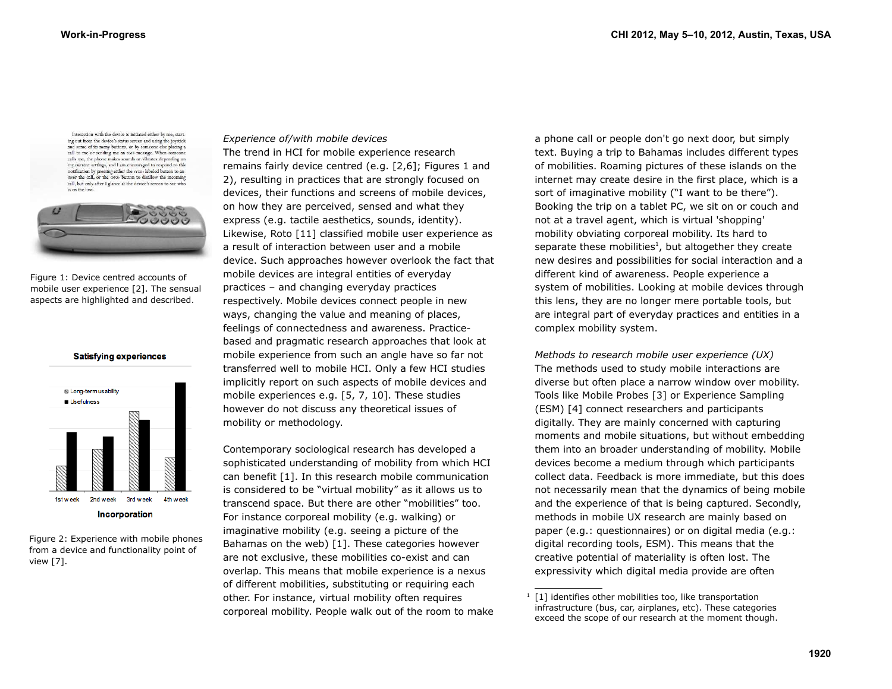Interaction with the device is initiated either by me, starting out from the device's status screen and using the joystick and some of its many buttons, or by someone else placing a call to me or sending me an sws message. When someone calls me, the phone makes sounds or vibrates depending on my current settings, and I am encouraged to respond to this notification by pressing either the cyss) labeled button to answer the call, or the ONO<sub>2</sub> button to disallow the incoming call, but only after I glance at the device's screen to see who<br>is on the line.



Figure 1: Device centred accounts of mobile user experience [2]. The sensual aspects are highlighted and described.

#### **Satisfying experiences**



Figure 2: Experience with mobile phones from a device and functionality point of view [7].

*Experience of/with mobile devices* The trend in HCI for mobile experience research remains fairly device centred (e.g. [2,6]; Figures 1 and 2), resulting in practices that are strongly focused on devices, their functions and screens of mobile devices, on how they are perceived, sensed and what they express (e.g. tactile aesthetics, sounds, identity). Likewise, Roto [11] classified mobile user experience as a result of interaction between user and a mobile device. Such approaches however overlook the fact that mobile devices are integral entities of everyday practices – and changing everyday practices respectively. Mobile devices connect people in new ways, changing the value and meaning of places, feelings of connectedness and awareness. Practicebased and pragmatic research approaches that look at mobile experience from such an angle have so far not transferred well to mobile HCI. Only a few HCI studies implicitly report on such aspects of mobile devices and mobile experiences e.g. [5, 7, 10]. These studies however do not discuss any theoretical issues of mobility or methodology.

Contemporary sociological research has developed a sophisticated understanding of mobility from which HCI can benefit [1]. In this research mobile communication is considered to be "virtual mobility" as it allows us to transcend space. But there are other "mobilities" too. For instance corporeal mobility (e.g. walking) or imaginative mobility (e.g. seeing a picture of the Bahamas on the web) [1]. These categories however are not exclusive, these mobilities co-exist and can overlap. This means that mobile experience is a nexus of different mobilities, substituting or requiring each other. For instance, virtual mobility often requires corporeal mobility. People walk out of the room to make a phone call or people don't go next door, but simply text. Buying a trip to Bahamas includes different types of mobilities. Roaming pictures of these islands on the internet may create desire in the first place, which is a sort of imaginative mobility ("I want to be there"). Booking the trip on a tablet PC, we sit on or couch and not at a travel agent, which is virtual 'shopping' mobility obviating corporeal mobility. Its hard to separate these mobilities<sup>[1](#page-1-0)</sup>, but altogether they create new desires and possibilities for social interaction and a different kind of awareness. People experience a system of mobilities. Looking at mobile devices through this lens, they are no longer mere portable tools, but are integral part of everyday practices and entities in a complex mobility system.

*Methods to research mobile user experience (UX)* The methods used to study mobile interactions are diverse but often place a narrow window over mobility. Tools like Mobile Probes [3] or Experience Sampling (ESM) [4] connect researchers and participants digitally. They are mainly concerned with capturing moments and mobile situations, but without embedding them into an broader understanding of mobility. Mobile devices become a medium through which participants collect data. Feedback is more immediate, but this does not necessarily mean that the dynamics of being mobile and the experience of that is being captured. Secondly, methods in mobile UX research are mainly based on paper (e.g.: questionnaires) or on digital media (e.g.: digital recording tools, ESM). This means that the creative potential of materiality is often lost. The expressivity which digital media provide are often

<sup>1</sup> [1] identifies other mobilities too, like transportation infrastructure (bus, car, airplanes, etc). These categories exceed the scope of our research at the moment though.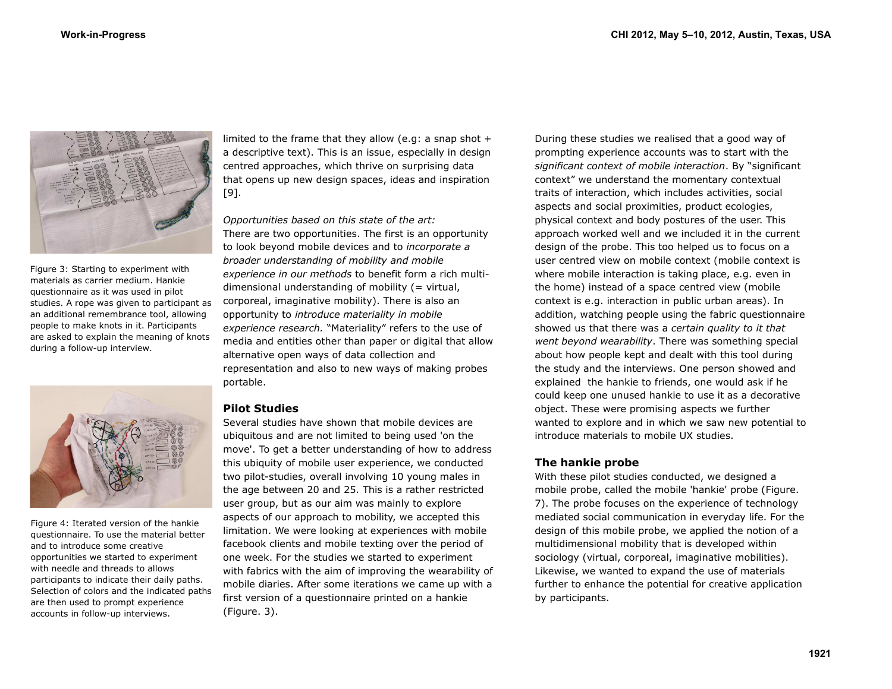

Figure 3: Starting to experiment with materials as carrier medium. Hankie questionnaire as it was used in pilot studies. A rope was given to participant as an additional remembrance tool, allowing people to make knots in it. Participants are asked to explain the meaning of knots during a follow-up interview.



Figure 4: Iterated version of the hankie questionnaire. To use the material better and to introduce some creative opportunities we started to experiment with needle and threads to allows participants to indicate their daily paths. Selection of colors and the indicated paths are then used to prompt experience accounts in follow-up interviews.

limited to the frame that they allow (e.g: a snap shot + a descriptive text). This is an issue, especially in design centred approaches, which thrive on surprising data that opens up new design spaces, ideas and inspiration [9].

*Opportunities based on this state of the art:*  There are two opportunities. The first is an opportunity to look beyond mobile devices and to *incorporate a broader understanding of mobility and mobile experience in our methods* to benefit form a rich multidimensional understanding of mobility  $($  = virtual, corporeal, imaginative mobility). There is also an opportunity to *introduce materiality in mobile experience research.* "Materiality" refers to the use of media and entities other than paper or digital that allow alternative open ways of data collection and representation and also to new ways of making probes portable.

# **Pilot Studies**

Several studies have shown that mobile devices are ubiquitous and are not limited to being used 'on the move'. To get a better understanding of how to address this ubiquity of mobile user experience, we conducted two pilot-studies, overall involving 10 young males in the age between 20 and 25. This is a rather restricted user group, but as our aim was mainly to explore aspects of our approach to mobility, we accepted this limitation. We were looking at experiences with mobile facebook clients and mobile texting over the period of one week. For the studies we started to experiment with fabrics with the aim of improving the wearability of mobile diaries. After some iterations we came up with a first version of a questionnaire printed on a hankie (Figure. 3).

During these studies we realised that a good way of prompting experience accounts was to start with the *significant context of mobile interaction*. By "significant context" we understand the momentary contextual traits of interaction, which includes activities, social aspects and social proximities, product ecologies, physical context and body postures of the user. This approach worked well and we included it in the current design of the probe. This too helped us to focus on a user centred view on mobile context (mobile context is where mobile interaction is taking place, e.g. even in the home) instead of a space centred view (mobile context is e.g. interaction in public urban areas). In addition, watching people using the fabric questionnaire showed us that there was a *certain quality to it that went beyond wearability*. There was something special about how people kept and dealt with this tool during the study and the interviews. One person showed and explained the hankie to friends, one would ask if he could keep one unused hankie to use it as a decorative object. These were promising aspects we further wanted to explore and in which we saw new potential to introduce materials to mobile UX studies.

# **The hankie probe**

With these pilot studies conducted, we designed a mobile probe, called the mobile 'hankie' probe (Figure. 7). The probe focuses on the experience of technology mediated social communication in everyday life. For the design of this mobile probe, we applied the notion of a multidimensional mobility that is developed within sociology (virtual, corporeal, imaginative mobilities). Likewise, we wanted to expand the use of materials further to enhance the potential for creative application by participants.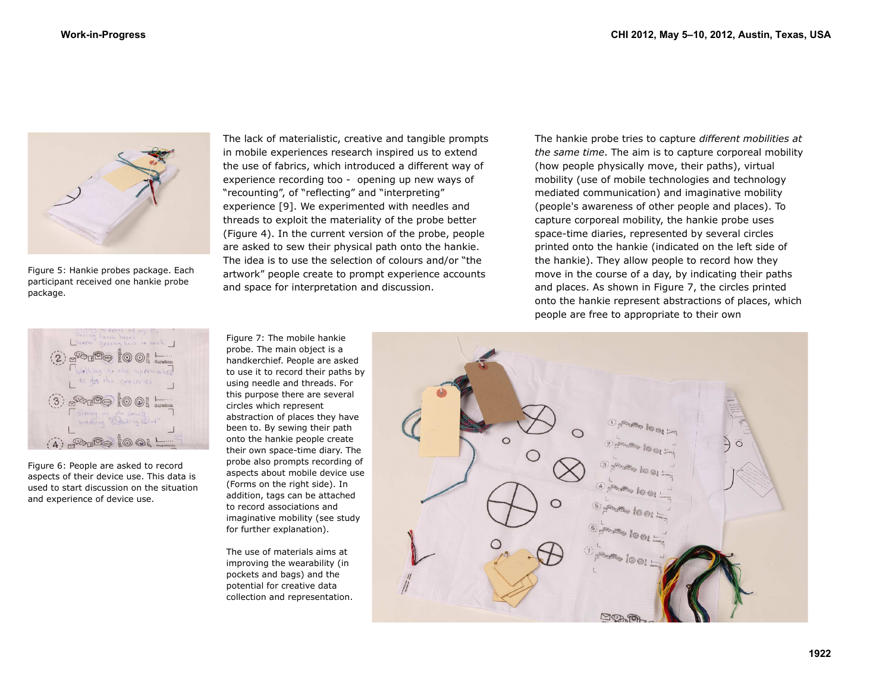

Figure 5: Hankie probes package. Each participant received one hankie probe package.



Figure 6: People are asked to record aspects of their device use. This data is used to start discussion on the situation and experience of device use.

The lack of materialistic, creative and tangible prompts in mobile experiences research inspired us to extend the use of fabrics, which introduced a different way of experience recording too - opening up new ways of "recounting", of "reflecting" and "interpreting" experience [9]. We experimented with needles and threads to exploit the materiality of the probe better (Figure 4). In the current version of the probe, people are asked to sew their physical path onto the hankie. The idea is to use the selection of colours and/or "the artwork" people create to prompt experience accounts and space for interpretation and discussion.

Figure 7: The mobile hankie probe. The main object is a handkerchief. People are asked to use it to record their paths by using needle and threads. For this purpose there are several circles which represent abstraction of places they have been to. By sewing their path onto the hankie people create their own space-time diary. The probe also prompts recording of aspects about mobile device use (Forms on the right side). In addition, tags can be attached to record associations and imaginative mobility (see study for further explanation).

The use of materials aims at improving the wearability (in pockets and bags) and the potential for creative data collection and representation. The hankie probe tries to capture *different mobilities at the same time*. The aim is to capture corporeal mobility (how people physically move, their paths), virtual mobility (use of mobile technologies and technology mediated communication) and imaginative mobility (people's awareness of other people and places). To capture corporeal mobility, the hankie probe uses space-time diaries, represented by several circles printed onto the hankie (indicated on the left side of the hankie). They allow people to record how they move in the course of a day, by indicating their paths and places. As shown in Figure 7, the circles printed onto the hankie represent abstractions of places, which people are free to appropriate to their own

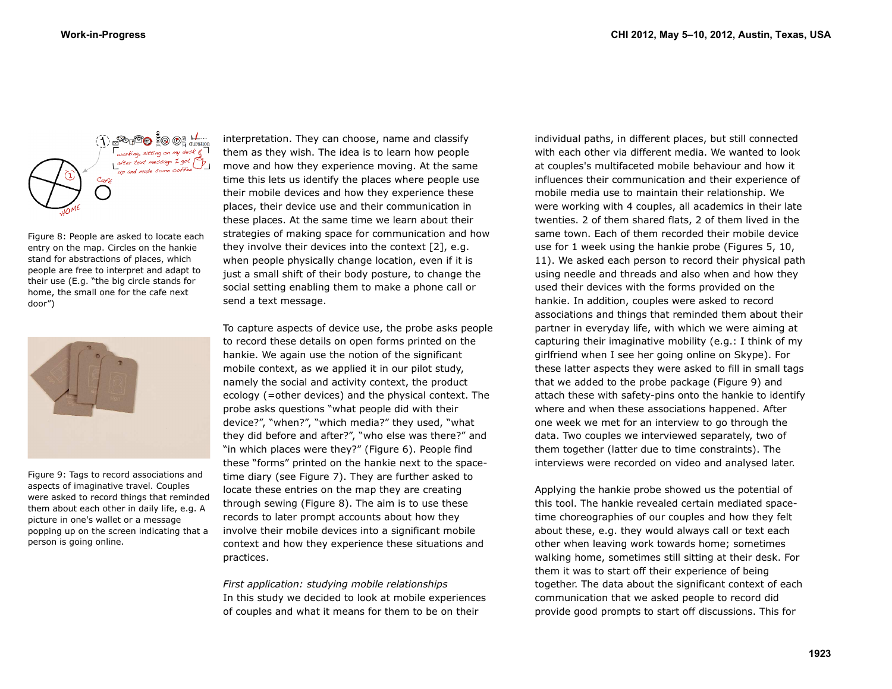

Figure 8: People are asked to locate each entry on the map. Circles on the hankie stand for abstractions of places, which people are free to interpret and adapt to their use (E.g. "the big circle stands for home, the small one for the cafe next door")



Figure 9: Tags to record associations and aspects of imaginative travel. Couples were asked to record things that reminded them about each other in daily life, e.g. A picture in one's wallet or a message popping up on the screen indicating that a person is going online.

interpretation. They can choose, name and classify them as they wish. The idea is to learn how people move and how they experience moving. At the same time this lets us identify the places where people use their mobile devices and how they experience these places, their device use and their communication in these places. At the same time we learn about their strategies of making space for communication and how they involve their devices into the context [2], e.g. when people physically change location, even if it is just a small shift of their body posture, to change the social setting enabling them to make a phone call or send a text message.

To capture aspects of device use, the probe asks people to record these details on open forms printed on the hankie. We again use the notion of the significant mobile context, as we applied it in our pilot study, namely the social and activity context, the product ecology (=other devices) and the physical context. The probe asks questions "what people did with their device?", "when?", "which media?" they used, "what they did before and after?", "who else was there?" and "in which places were they?" (Figure 6). People find these "forms" printed on the hankie next to the spacetime diary (see Figure 7). They are further asked to locate these entries on the map they are creating through sewing (Figure 8). The aim is to use these records to later prompt accounts about how they involve their mobile devices into a significant mobile context and how they experience these situations and practices.

*First application: studying mobile relationships* In this study we decided to look at mobile experiences of couples and what it means for them to be on their

individual paths, in different places, but still connected with each other via different media. We wanted to look at couples's multifaceted mobile behaviour and how it influences their communication and their experience of mobile media use to maintain their relationship. We were working with 4 couples, all academics in their late twenties. 2 of them shared flats, 2 of them lived in the same town. Each of them recorded their mobile device use for 1 week using the hankie probe (Figures 5, 10, 11). We asked each person to record their physical path using needle and threads and also when and how they used their devices with the forms provided on the hankie. In addition, couples were asked to record associations and things that reminded them about their partner in everyday life, with which we were aiming at capturing their imaginative mobility (e.g.: I think of my girlfriend when I see her going online on Skype). For these latter aspects they were asked to fill in small tags that we added to the probe package (Figure 9) and attach these with safety-pins onto the hankie to identify where and when these associations happened. After one week we met for an interview to go through the data. Two couples we interviewed separately, two of them together (latter due to time constraints). The interviews were recorded on video and analysed later.

Applying the hankie probe showed us the potential of this tool. The hankie revealed certain mediated spacetime choreographies of our couples and how they felt about these, e.g. they would always call or text each other when leaving work towards home; sometimes walking home, sometimes still sitting at their desk. For them it was to start off their experience of being together. The data about the significant context of each communication that we asked people to record did provide good prompts to start off discussions. This for